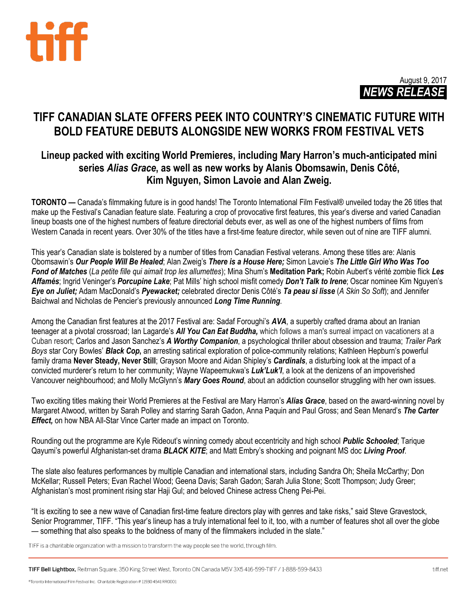



# **TIFF CANADIAN SLATE OFFERS PEEK INTO COUNTRY'S CINEMATIC FUTURE WITH BOLD FEATURE DEBUTS ALONGSIDE NEW WORKS FROM FESTIVAL VETS**

# **Lineup packed with exciting World Premieres, including Mary Harron's much-anticipated mini series** *Alias Grace***, as well as new works by Alanis Obomsawin, Denis Côté, Kim Nguyen, Simon Lavoie and Alan Zweig.**

**TORONTO —** Canada's filmmaking future is in good hands! The Toronto International Film Festival® unveiled today the 26 titles that make up the Festival's Canadian feature slate. Featuring a crop of provocative first features, this year's diverse and varied Canadian lineup boasts one of the highest numbers of feature directorial debuts ever, as well as one of the highest numbers of films from Western Canada in recent years. Over 30% of the titles have a first-time feature director, while seven out of nine are TIFF alumni.

This year's Canadian slate is bolstered by a number of titles from Canadian Festival veterans. Among these titles are: Alanis Obomsawin's *Our People Will Be Healed*; Alan Zweig's *There is a House Here;* Simon Lavoie's *The Little Girl Who Was Too Fond of Matches* (*La petite fille qui aimait trop les allumettes*); Mina Shum's **Meditation Park;** Robin Aubert's vérité zombie flick *Les Affamés*; Ingrid Veninger's *Porcupine Lake*; Pat Mills' high school misfit comedy *Don't Talk to Irene*; Oscar nominee Kim Nguyen's *Eye on Juliet;* Adam MacDonald's *Pyewacket;* celebrated director Denis Côté's *Ta peau si lisse* (*A Skin So Soft*); and Jennifer Baichwal and Nicholas de Pencier's previously announced *Long Time Running*.

Among the Canadian first features at the 2017 Festival are: Sadaf Foroughi's *AVA*, a superbly crafted drama about an Iranian teenager at a pivotal crossroad; Ian Lagarde's *All You Can Eat Buddha,* which follows a man's surreal impact on vacationers at a Cuban resort; Carlos and Jason Sanchez's *A Worthy Companion*, a psychological thriller about obsession and trauma; *Trailer Park Boys* star Cory Bowles' *Black Cop***,** an arresting satirical exploration of police-community relations; Kathleen Hepburn's powerful family drama **Never Steady, Never Still**; Grayson Moore and Aidan Shipley's *Cardinals*, a disturbing look at the impact of a convicted murderer's return to her community; Wayne Wapeemukwa's *Luk'Luk'I*, a look at the denizens of an impoverished Vancouver neighbourhood; and Molly McGlynn's *Mary Goes Round*, about an addiction counsellor struggling with her own issues.

Two exciting titles making their World Premieres at the Festival are Mary Harron's *Alias Grace*, based on the award-winning novel by Margaret Atwood, written by Sarah Polley and starring Sarah Gadon, Anna Paquin and Paul Gross; and Sean Menard's *The Carter Effect,* on how NBA All-Star Vince Carter made an impact on Toronto.

Rounding out the programme are Kyle Rideout's winning comedy about eccentricity and high school *Public Schooled*; Tarique Qayumi's powerful Afghanistan-set drama *BLACK KITE*; and Matt Embry's shocking and poignant MS doc *Living Proof*.

The slate also features performances by multiple Canadian and international stars, including Sandra Oh; Sheila McCarthy; Don McKellar; Russell Peters; Evan Rachel Wood; Geena Davis; Sarah Gadon; Sarah Julia Stone; Scott Thompson; Judy Greer; Afghanistan's most prominent rising star Haji Gul; and beloved Chinese actress Cheng Pei-Pei.

"It is exciting to see a new wave of Canadian first-time feature directors play with genres and take risks," said Steve Gravestock, Senior Programmer, TIFF. "This year's lineup has a truly international feel to it, too, with a number of features shot all over the globe — something that also speaks to the boldness of many of the filmmakers included in the slate."

TIFF is a charitable organization with a mission to transform the way people see the world, through film.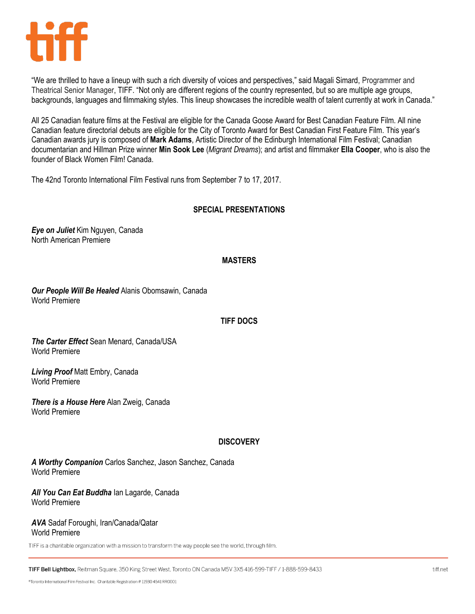

"We are thrilled to have a lineup with such a rich diversity of voices and perspectives," said Magali Simard, Programmer and Theatrical Senior Manager, TIFF. "Not only are different regions of the country represented, but so are multiple age groups, backgrounds, languages and filmmaking styles. This lineup showcases the incredible wealth of talent currently at work in Canada."

All 25 Canadian feature films at the Festival are eligible for the Canada Goose Award for Best Canadian Feature Film. All nine Canadian feature directorial debuts are eligible for the City of Toronto Award for Best Canadian First Feature Film. This year's Canadian awards jury is composed of **Mark Adams**, Artistic Director of the Edinburgh International Film Festival; Canadian documentarian and Hillman Prize winner **Min Sook Lee** (*Migrant Dreams*); and artist and filmmaker **Ella Cooper**, who is also the founder of Black Women Film! Canada.

The 42nd Toronto International Film Festival runs from September 7 to 17, 2017.

# **SPECIAL PRESENTATIONS**

*Eye on Juliet* Kim Nguyen, Canada North American Premiere

## **MASTERS**

*Our People Will Be Healed* Alanis Obomsawin, Canada World Premiere

## **TIFF DOCS**

*The Carter Effect* Sean Menard, Canada/USA World Premiere

*Living Proof* Matt Embry, Canada World Premiere

*There is a House Here* Alan Zweig, Canada World Premiere

## **DISCOVERY**

*A Worthy Companion* Carlos Sanchez, Jason Sanchez, Canada World Premiere

*All You Can Eat Buddha* Ian Lagarde, Canada World Premiere

#### *AVA* Sadaf Foroughi, Iran/Canada/Qatar World Premiere

TIFF is a charitable organization with a mission to transform the way people see the world, through film.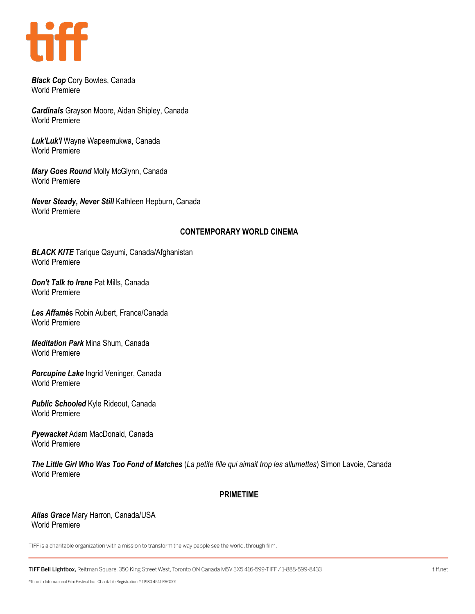

*Black Cop* Cory Bowles, Canada World Premiere

*Cardinals* Grayson Moore, Aidan Shipley, Canada World Premiere

*Luk'Luk'I* Wayne Wapeemukwa, Canada World Premiere

*Mary Goes Round* Molly McGlynn, Canada World Premiere

*Never Steady, Never Still* Kathleen Hepburn, Canada World Premiere

## **CONTEMPORARY WORLD CINEMA**

*BLACK KITE* Tarique Qayumi, Canada/Afghanistan World Premiere

*Don't Talk to Irene* Pat Mills, Canada World Premiere

*Les Affam***és** Robin Aubert, France/Canada World Premiere

*Meditation Park* Mina Shum, Canada World Premiere

*Porcupine Lake* Ingrid Veninger, Canada World Premiere

*Public Schooled* Kyle Rideout, Canada World Premiere

*Pyewacket* Adam MacDonald, Canada World Premiere

*The Little Girl Who Was Too Fond of Matches* (*La petite fille qui aimait trop les allumettes*) Simon Lavoie, Canada World Premiere

## **PRIMETIME**

*Alias Grace* Mary Harron, Canada/USA World Premiere

TIFF is a charitable organization with a mission to transform the way people see the world, through film.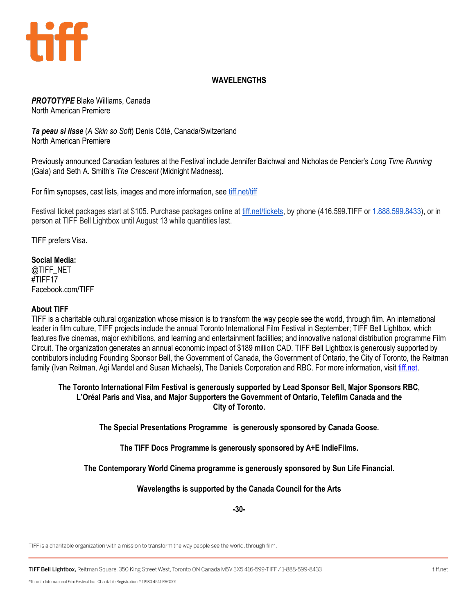

# **WAVELENGTHS**

*PROTOTYPE* Blake Williams, Canada North American Premiere

*Ta peau si lisse* (*A Skin so Soft*) Denis Côté, Canada/Switzerland North American Premiere

Previously announced Canadian features at the Festival include Jennifer Baichwal and Nicholas de Pencier's *Long Time Running* (Gala) and Seth A. Smith's *The Crescent* (Midnight Madness).

For film synopses, cast lists, images and more information, see [tiff.net/tiff](http://www.tiff.net/tiff/)

Festival ticket packages start at \$105. Purchase packages online at [tiff.net/tickets,](http://tiff.net/tickets) by phone (416.599.TIFF or 1.888.599.8433), or in person at TIFF Bell Lightbox until August 13 while quantities last.

TIFF prefers Visa.

#### **Social Media:**

@TIFF\_NET #TIFF17 Facebook.com/TIFF

#### **About TIFF**

TIFF is a charitable cultural organization whose mission is to transform the way people see the world, through film. An international leader in film culture, TIFF projects include the annual Toronto International Film Festival in September; TIFF Bell Lightbox, which features five cinemas, major exhibitions, and learning and entertainment facilities; and innovative national distribution programme Film Circuit. The organization generates an annual economic impact of \$189 million CAD. TIFF Bell Lightbox is generously supported by contributors including Founding Sponsor Bell, the Government of Canada, the Government of Ontario, the City of Toronto, the Reitman family (Ivan Reitman, Agi Mandel and Susan Michaels), The Daniels Corporation and RBC. For more information, visit [tiff.net.](http://tiff.net/)

#### **The Toronto International Film Festival is generously supported by Lead Sponsor Bell, Major Sponsors RBC, L'Oréal Paris and Visa, and Major Supporters the Government of Ontario, Telefilm Canada and the City of Toronto.**

**The Special Presentations Programme is generously sponsored by Canada Goose.**

**The TIFF Docs Programme is generously sponsored by A+E IndieFilms.**

**The Contemporary World Cinema programme is generously sponsored by Sun Life Financial.**

## **Wavelengths is supported by the Canada Council for the Arts**

**-30-**

TIFF is a charitable organization with a mission to transform the way people see the world, through film.